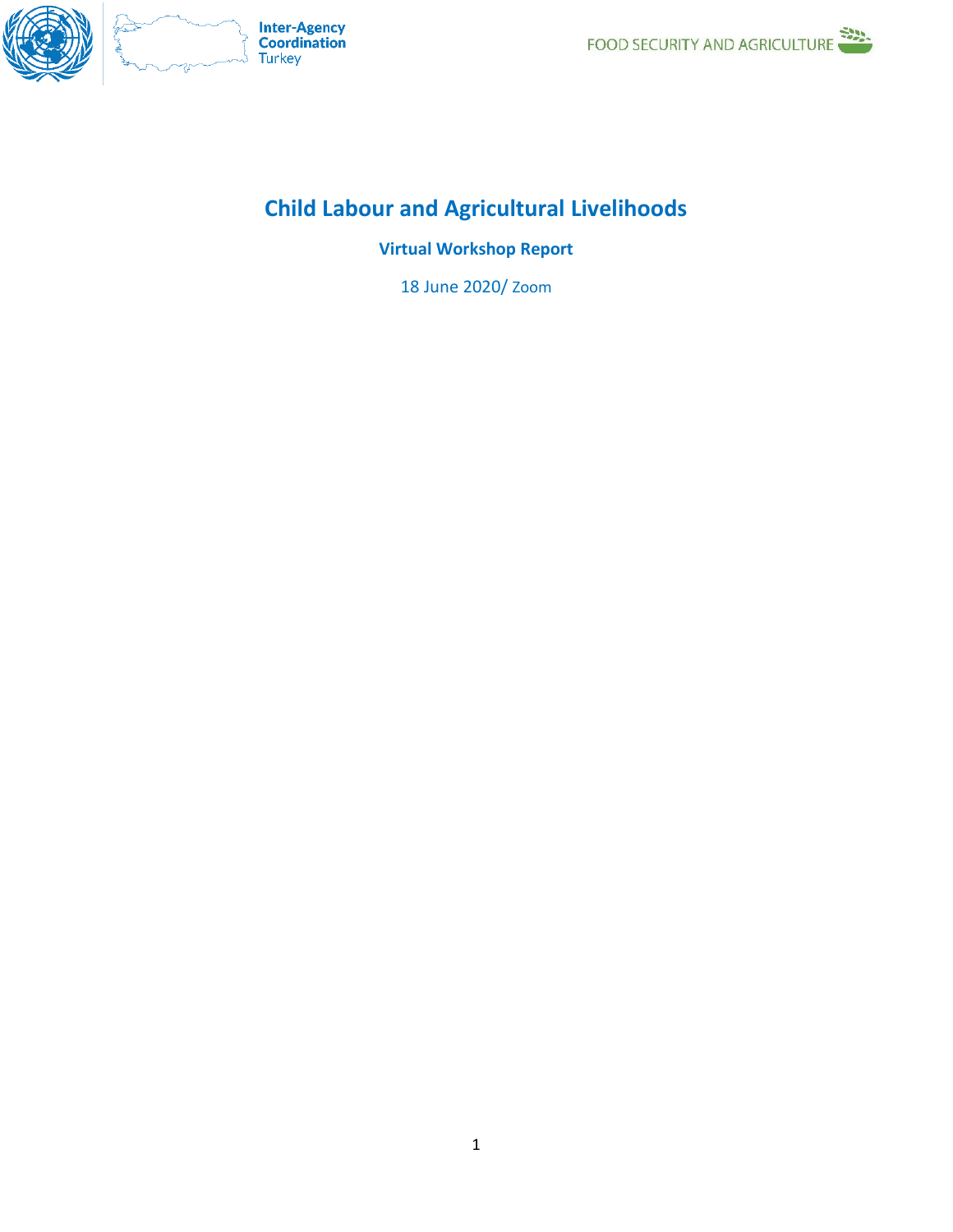

# **Child Labour and Agricultural Livelihoods**

**Virtual Workshop Report**

18 June 2020/ Zoom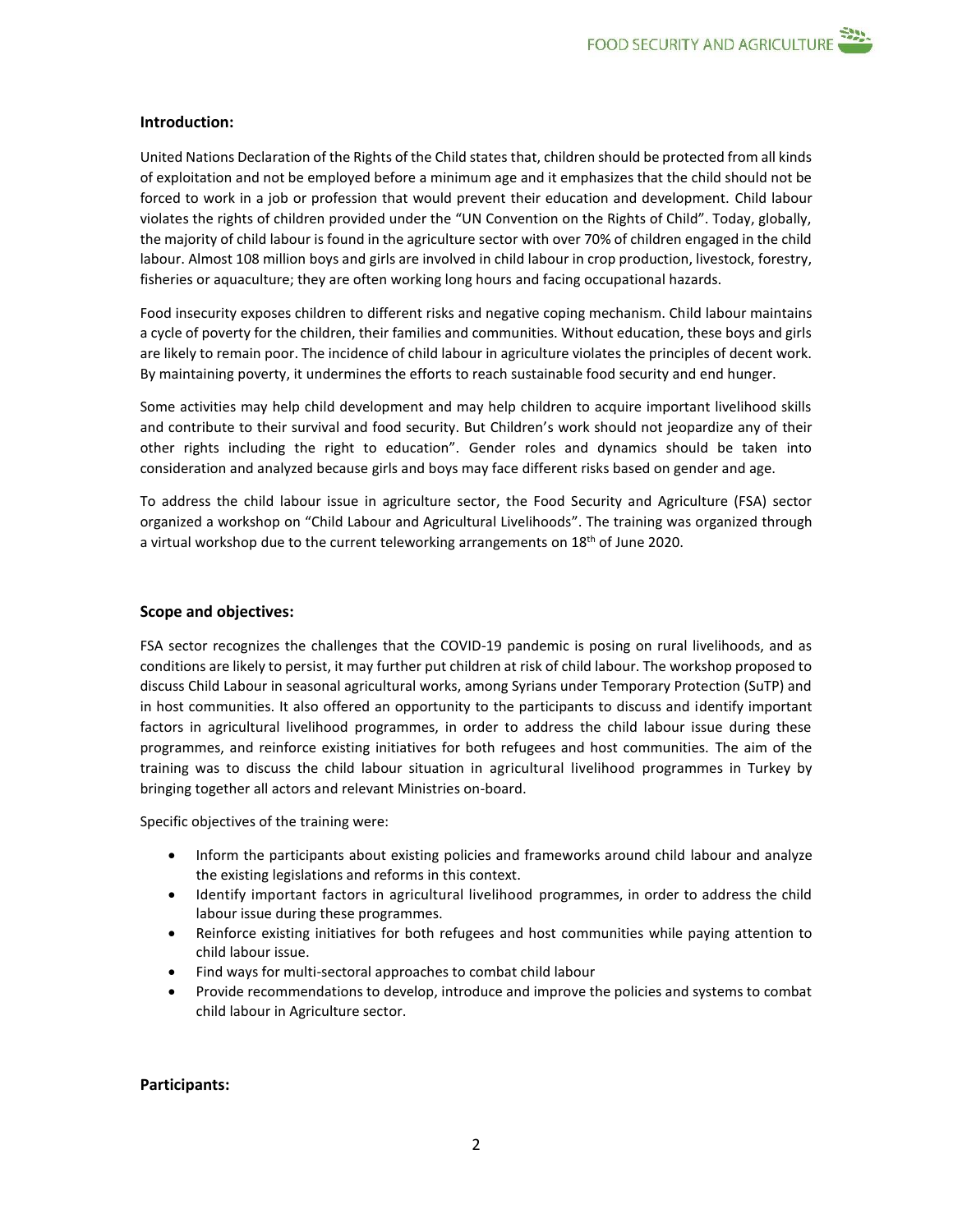

United Nations Declaration of the Rights of the Child states that, children should be protected from all kinds of exploitation and not be employed before a minimum age and it emphasizes that the child should not be forced to work in a job or profession that would prevent their education and development. Child labour violates the rights of children provided under the "UN Convention on the Rights of Child". Today, globally, the majority of child labour is found in the agriculture sector with over 70% of children engaged in the child labour. Almost 108 million boys and girls are involved in child labour in crop production, livestock, forestry, fisheries or aquaculture; they are often working long hours and facing occupational hazards.

Food insecurity exposes children to different risks and negative coping mechanism. Child labour maintains a cycle of poverty for the children, their families and communities. Without education, these boys and girls are likely to remain poor. The incidence of child labour in agriculture violates the principles of decent work. By maintaining poverty, it undermines the efforts to reach sustainable food security and end hunger.

Some activities may help child development and may help children to acquire important livelihood skills and contribute to their survival and food security. But Children's work should not jeopardize any of their other rights including the right to education". Gender roles and dynamics should be taken into consideration and analyzed because girls and boys may face different risks based on gender and age.

To address the child labour issue in agriculture sector, the Food Security and Agriculture (FSA) sector organized a workshop on "Child Labour and Agricultural Livelihoods". The training was organized through a virtual workshop due to the current teleworking arrangements on 18<sup>th</sup> of June 2020.

#### **Scope and objectives:**

FSA sector recognizes the challenges that the COVID-19 pandemic is posing on rural livelihoods, and as conditions are likely to persist, it may further put children at risk of child labour. The workshop proposed to discuss Child Labour in seasonal agricultural works, among Syrians under Temporary Protection (SuTP) and in host communities. It also offered an opportunity to the participants to discuss and identify important factors in agricultural livelihood programmes, in order to address the child labour issue during these programmes, and reinforce existing initiatives for both refugees and host communities. The aim of the training was to discuss the child labour situation in agricultural livelihood programmes in Turkey by bringing together all actors and relevant Ministries on-board.

Specific objectives of the training were:

- Inform the participants about existing policies and frameworks around child labour and analyze the existing legislations and reforms in this context.
- Identify important factors in agricultural livelihood programmes, in order to address the child labour issue during these programmes.
- Reinforce existing initiatives for both refugees and host communities while paying attention to child labour issue.
- Find ways for multi-sectoral approaches to combat child labour
- Provide recommendations to develop, introduce and improve the policies and systems to combat child labour in Agriculture sector.

#### **Participants:**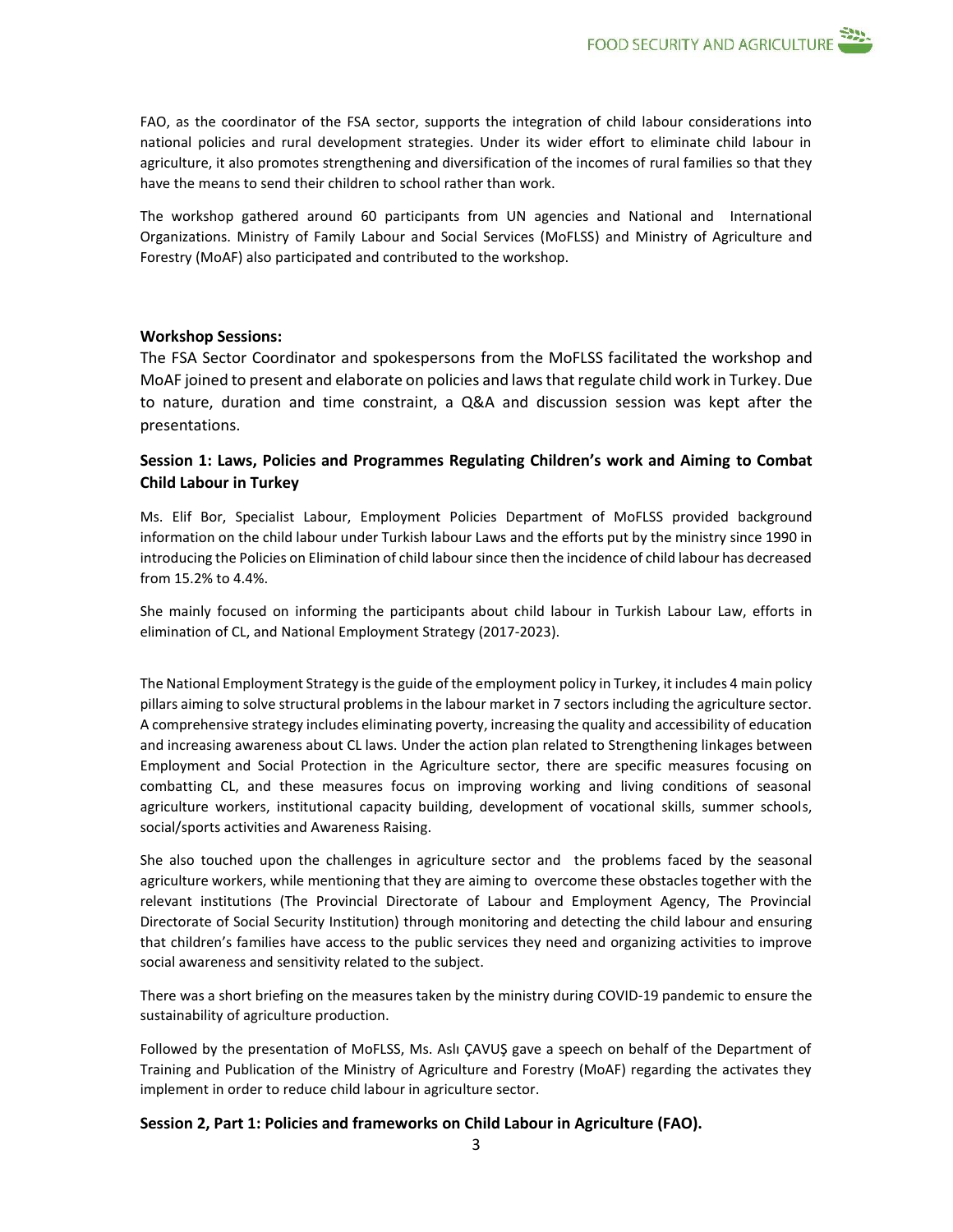FAO, as the coordinator of the FSA sector, supports the integration of child labour considerations into national policies and rural development strategies. Under its wider effort to eliminate child labour in agriculture, it also promotes strengthening and diversification of the incomes of rural families so that they have the means to send their children to school rather than work.

The workshop gathered around 60 participants from UN agencies and National and International Organizations. Ministry of Family Labour and Social Services (MoFLSS) and Ministry of Agriculture and Forestry (MoAF) also participated and contributed to the workshop.

#### **Workshop Sessions:**

The FSA Sector Coordinator and spokespersons from the MoFLSS facilitated the workshop and MoAF joined to present and elaborate on policies and laws that regulate child work in Turkey. Due to nature, duration and time constraint, a Q&A and discussion session was kept after the presentations.

## **Session 1: Laws, Policies and Programmes Regulating Children's work and Aiming to Combat Child Labour in Turkey**

Ms. Elif Bor, Specialist Labour, Employment Policies Department of MoFLSS provided background information on the child labour under Turkish labour Laws and the efforts put by the ministry since 1990 in introducing the Policies on Elimination of child labour since then the incidence of child labour has decreased from 15.2% to 4.4%.

She mainly focused on informing the participants about child labour in Turkish Labour Law, efforts in elimination of CL, and National Employment Strategy (2017-2023).

The National Employment Strategy is the guide of the employment policy in Turkey, it includes 4 main policy pillars aiming to solve structural problems in the labour market in 7 sectors including the agriculture sector. A comprehensive strategy includes eliminating poverty, increasing the quality and accessibility of education and increasing awareness about CL laws. Under the action plan related to Strengthening linkages between Employment and Social Protection in the Agriculture sector, there are specific measures focusing on combatting CL, and these measures focus on improving working and living conditions of seasonal agriculture workers, institutional capacity building, development of vocational skills, summer schools, social/sports activities and Awareness Raising.

She also touched upon the challenges in agriculture sector and the problems faced by the seasonal agriculture workers, while mentioning that they are aiming to overcome these obstacles together with the relevant institutions (The Provincial Directorate of Labour and Employment Agency, The Provincial Directorate of Social Security Institution) through monitoring and detecting the child labour and ensuring that children's families have access to the public services they need and organizing activities to improve social awareness and sensitivity related to the subject.

There was a short briefing on the measures taken by the ministry during COVID-19 pandemic to ensure the sustainability of agriculture production.

Followed by the presentation of MoFLSS, Ms. Aslı ÇAVUŞ gave a speech on behalf of the Department of Training and Publication of the Ministry of Agriculture and Forestry (MoAF) regarding the activates they implement in order to reduce child labour in agriculture sector.

#### **Session 2, Part 1: Policies and frameworks on Child Labour in Agriculture (FAO).**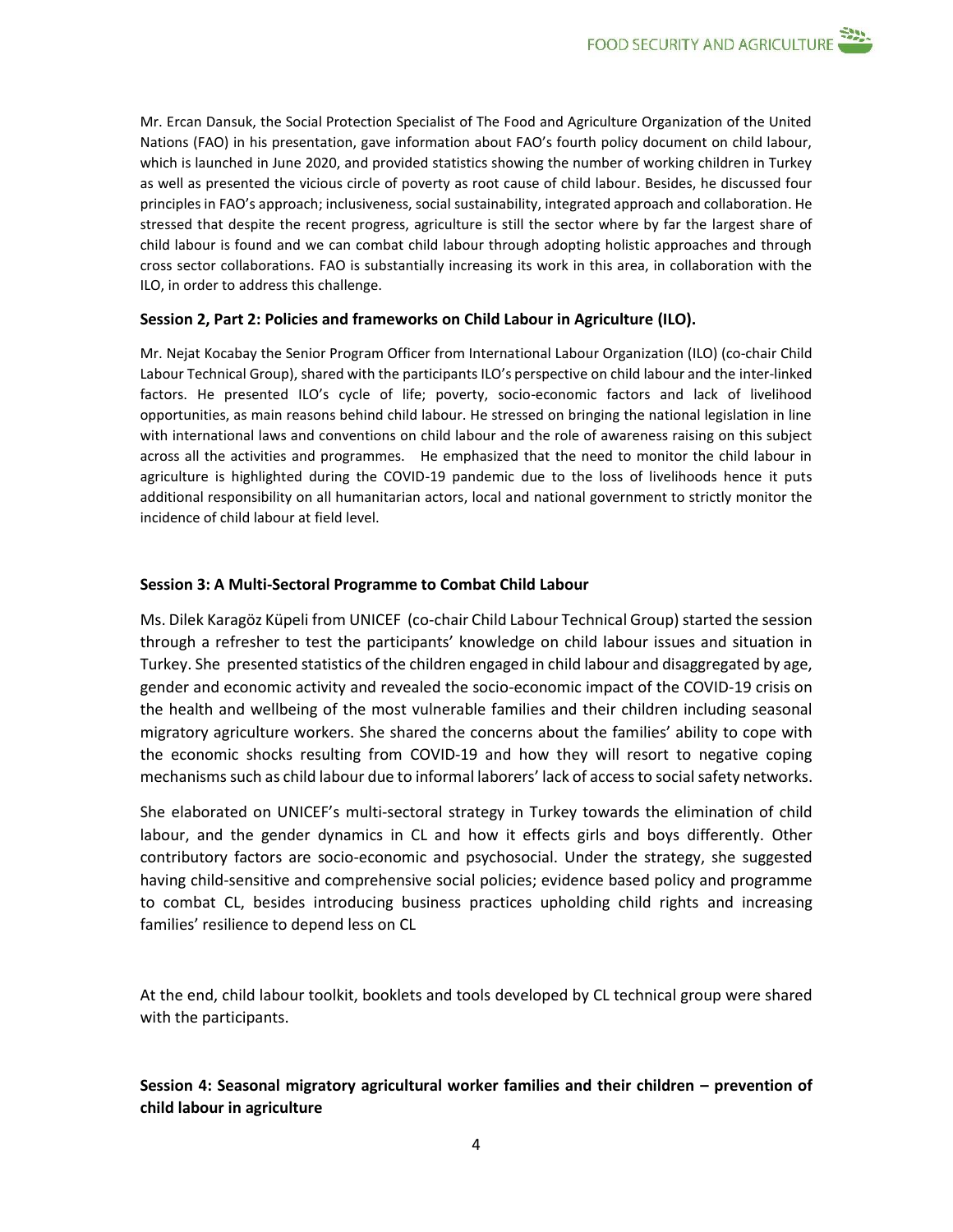Mr. Ercan Dansuk, the Social Protection Specialist of The Food and Agriculture Organization of the United Nations (FAO) in his presentation, gave information about FAO's fourth policy document on child labour, which is launched in June 2020, and provided statistics showing the number of working children in Turkey as well as presented the vicious circle of poverty as root cause of child labour. Besides, he discussed four principles in FAO's approach; inclusiveness, social sustainability, integrated approach and collaboration. He stressed that despite the recent progress, agriculture is still the sector where by far the largest share of child labour is found and we can combat child labour through adopting holistic approaches and through cross sector collaborations. FAO is substantially increasing its work in this area, in collaboration with the ILO, in order to address this challenge.

### **Session 2, Part 2: Policies and frameworks on Child Labour in Agriculture (ILO).**

Mr. Nejat Kocabay the Senior Program Officer from International Labour Organization (ILO) (co-chair Child Labour Technical Group), shared with the participants ILO's perspective on child labour and the inter-linked factors. He presented ILO's cycle of life; poverty, socio-economic factors and lack of livelihood opportunities, as main reasons behind child labour. He stressed on bringing the national legislation in line with international laws and conventions on child labour and the role of awareness raising on this subject across all the activities and programmes. He emphasized that the need to monitor the child labour in agriculture is highlighted during the COVID-19 pandemic due to the loss of livelihoods hence it puts additional responsibility on all humanitarian actors, local and national government to strictly monitor the incidence of child labour at field level.

### **Session 3: A Multi-Sectoral Programme to Combat Child Labour**

Ms. Dilek Karagöz Küpeli from UNICEF (co-chair Child Labour Technical Group) started the session through a refresher to test the participants' knowledge on child labour issues and situation in Turkey. She presented statistics of the children engaged in child labour and disaggregated by age, gender and economic activity and revealed the socio-economic impact of the COVID-19 crisis on the health and wellbeing of the most vulnerable families and their children including seasonal migratory agriculture workers. She shared the concerns about the families' ability to cope with the economic shocks resulting from COVID-19 and how they will resort to negative coping mechanisms such as child labour due to informal laborers' lack of access to social safety networks.

She elaborated on UNICEF's multi-sectoral strategy in Turkey towards the elimination of child labour, and the gender dynamics in CL and how it effects girls and boys differently. Other contributory factors are socio-economic and psychosocial. Under the strategy, she suggested having child-sensitive and comprehensive social policies; evidence based policy and programme to combat CL, besides introducing business practices upholding child rights and increasing families' resilience to depend less on CL

At the end, child labour toolkit, booklets and tools developed by CL technical group were shared with the participants.

## **Session 4: Seasonal migratory agricultural worker families and their children – prevention of child labour in agriculture**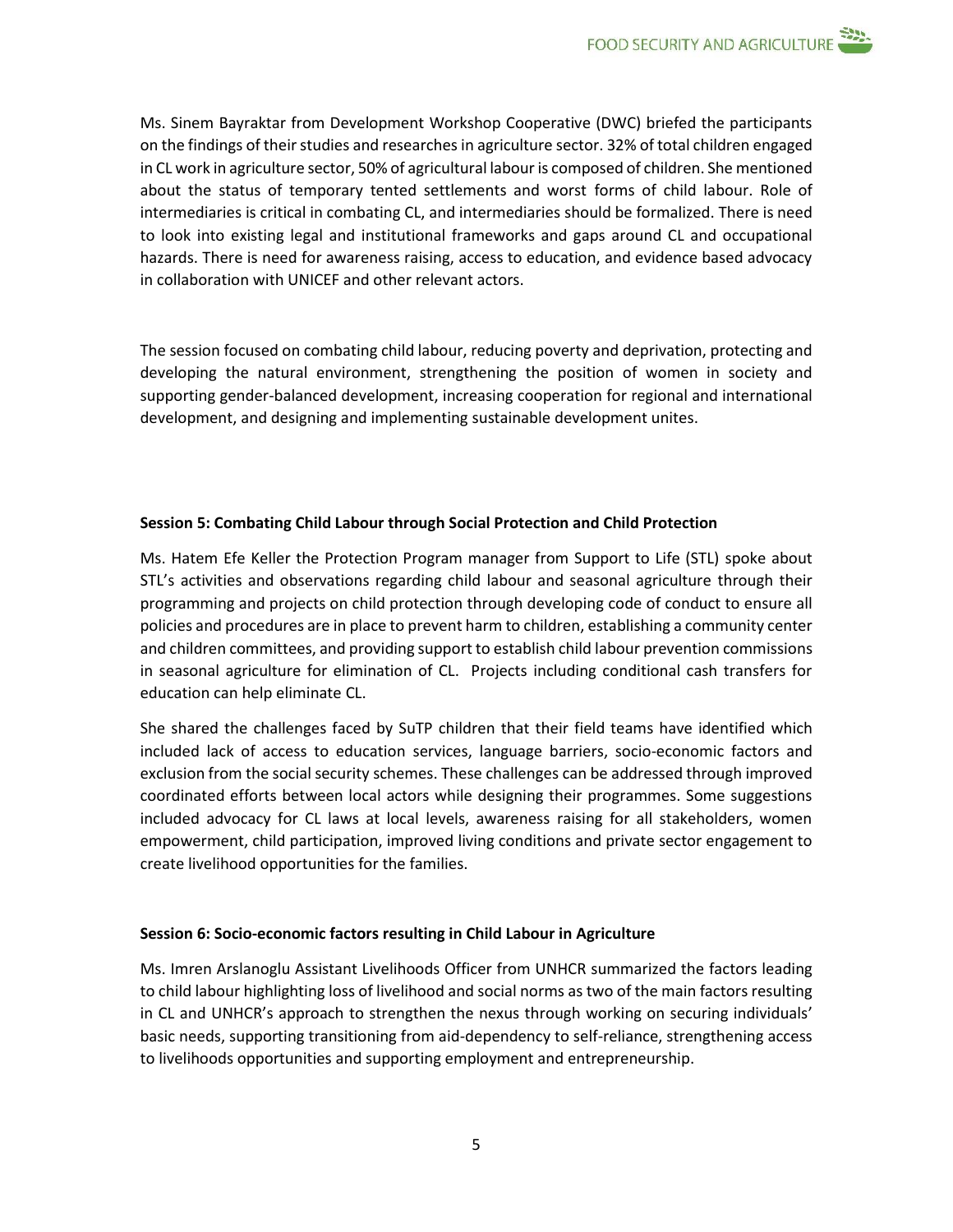Ms. Sinem Bayraktar from Development Workshop Cooperative (DWC) briefed the participants on the findings of their studies and researches in agriculture sector. 32% of total children engaged in CL work in agriculture sector, 50% of agricultural labour is composed of children. She mentioned about the status of temporary tented settlements and worst forms of child labour. Role of intermediaries is critical in combating CL, and intermediaries should be formalized. There is need to look into existing legal and institutional frameworks and gaps around CL and occupational hazards. There is need for awareness raising, access to education, and evidence based advocacy in collaboration with UNICEF and other relevant actors.

The session focused on combating child labour, reducing poverty and deprivation, protecting and developing the natural environment, strengthening the position of women in society and supporting gender-balanced development, increasing cooperation for regional and international development, and designing and implementing sustainable development unites.

### **Session 5: Combating Child Labour through Social Protection and Child Protection**

Ms. Hatem Efe Keller the Protection Program manager from Support to Life (STL) spoke about STL's activities and observations regarding child labour and seasonal agriculture through their programming and projects on child protection through developing code of conduct to ensure all policies and procedures are in place to prevent harm to children, establishing a community center and children committees, and providing support to establish child labour prevention commissions in seasonal agriculture for elimination of CL. Projects including conditional cash transfers for education can help eliminate CL.

She shared the challenges faced by SuTP children that their field teams have identified which included lack of access to education services, language barriers, socio-economic factors and exclusion from the social security schemes. These challenges can be addressed through improved coordinated efforts between local actors while designing their programmes. Some suggestions included advocacy for CL laws at local levels, awareness raising for all stakeholders, women empowerment, child participation, improved living conditions and private sector engagement to create livelihood opportunities for the families.

#### **Session 6: Socio-economic factors resulting in Child Labour in Agriculture**

Ms. Imren Arslanoglu Assistant Livelihoods Officer from UNHCR summarized the factors leading to child labour highlighting loss of livelihood and social norms as two of the main factors resulting in CL and UNHCR's approach to strengthen the nexus through working on securing individuals' basic needs, supporting transitioning from aid-dependency to self-reliance, strengthening access to livelihoods opportunities and supporting employment and entrepreneurship.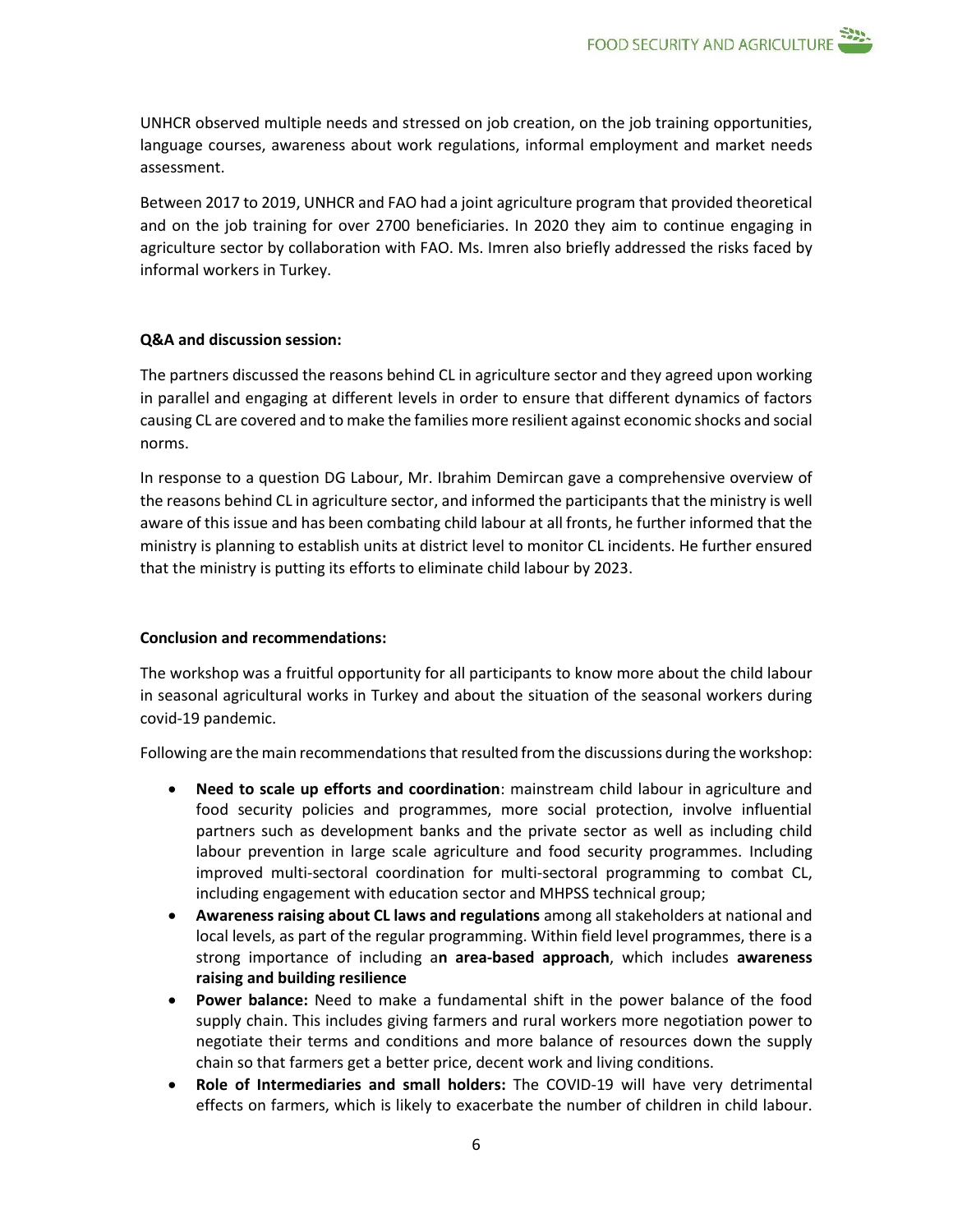UNHCR observed multiple needs and stressed on job creation, on the job training opportunities, language courses, awareness about work regulations, informal employment and market needs assessment.

Between 2017 to 2019, UNHCR and FAO had a joint agriculture program that provided theoretical and on the job training for over 2700 beneficiaries. In 2020 they aim to continue engaging in agriculture sector by collaboration with FAO. Ms. Imren also briefly addressed the risks faced by informal workers in Turkey.

#### **Q&A and discussion session:**

The partners discussed the reasons behind CL in agriculture sector and they agreed upon working in parallel and engaging at different levels in order to ensure that different dynamics of factors causing CL are covered and to make the families more resilient against economic shocks and social norms.

In response to a question DG Labour, Mr. Ibrahim Demircan gave a comprehensive overview of the reasons behind CL in agriculture sector, and informed the participants that the ministry is well aware of this issue and has been combating child labour at all fronts, he further informed that the ministry is planning to establish units at district level to monitor CL incidents. He further ensured that the ministry is putting its efforts to eliminate child labour by 2023.

## **Conclusion and recommendations:**

The workshop was a fruitful opportunity for all participants to know more about the child labour in seasonal agricultural works in Turkey and about the situation of the seasonal workers during covid-19 pandemic.

Following are the main recommendations that resulted from the discussions during the workshop:

- **Need to scale up efforts and coordination**: mainstream child labour in agriculture and food security policies and programmes, more social protection, involve influential partners such as development banks and the private sector as well as including child labour prevention in large scale agriculture and food security programmes. Including improved multi-sectoral coordination for multi-sectoral programming to combat CL, including engagement with education sector and MHPSS technical group;
- **Awareness raising about CL laws and regulations** among all stakeholders at national and local levels, as part of the regular programming. Within field level programmes, there is a strong importance of including a**n area-based approach**, which includes **awareness raising and building resilience**
- **Power balance:** Need to make a fundamental shift in the power balance of the food supply chain. This includes giving farmers and rural workers more negotiation power to negotiate their terms and conditions and more balance of resources down the supply chain so that farmers get a better price, decent work and living conditions.
- **Role of Intermediaries and small holders:** The COVID-19 will have very detrimental effects on farmers, which is likely to exacerbate the number of children in child labour.